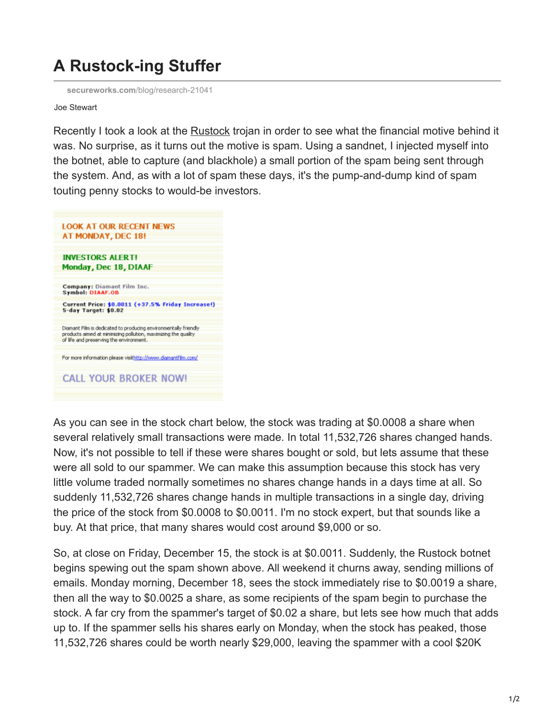## **A Rustock-ing Stuffer**

**secureworks.com**[/blog/research-21041](https://www.secureworks.com/blog/research-21041)

Joe Stewart

Recently I took a look at the [Rustock](http://research.sunbelt-software.com/threatdisplay.aspx?name=Backdoor.Rustock&threatid=45547) trojan in order to see what the financial motive behind it was. No surprise, as it turns out the motive is spam. Using a sandnet, I injected myself into the botnet, able to capture (and blackhole) a small portion of the spam being sent through the system. And, as with a lot of spam these days, it's the pump-and-dump kind of spam touting penny stocks to would-be investors.



As you can see in the stock chart below, the stock was trading at \$0.0008 a share when several relatively small transactions were made. In total 11,532,726 shares changed hands. Now, it's not possible to tell if these were shares bought or sold, but lets assume that these were all sold to our spammer. We can make this assumption because this stock has very little volume traded normally sometimes no shares change hands in a days time at all. So suddenly 11,532,726 shares change hands in multiple transactions in a single day, driving the price of the stock from \$0.0008 to \$0.0011. I'm no stock expert, but that sounds like a buy. At that price, that many shares would cost around \$9,000 or so.

So, at close on Friday, December 15, the stock is at \$0.0011. Suddenly, the Rustock botnet begins spewing out the spam shown above. All weekend it churns away, sending millions of emails. Monday morning, December 18, sees the stock immediately rise to \$0.0019 a share, then all the way to \$0.0025 a share, as some recipients of the spam begin to purchase the stock. A far cry from the spammer's target of \$0.02 a share, but lets see how much that adds up to. If the spammer sells his shares early on Monday, when the stock has peaked, those 11,532,726 shares could be worth nearly \$29,000, leaving the spammer with a cool \$20K